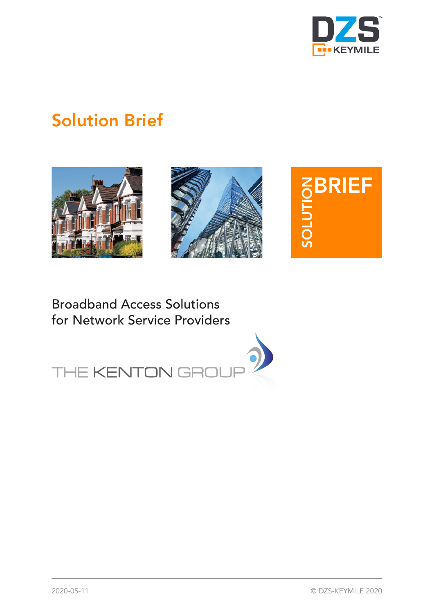

# Solution Brief







# Broadband Access Solutions for Network Service Providers

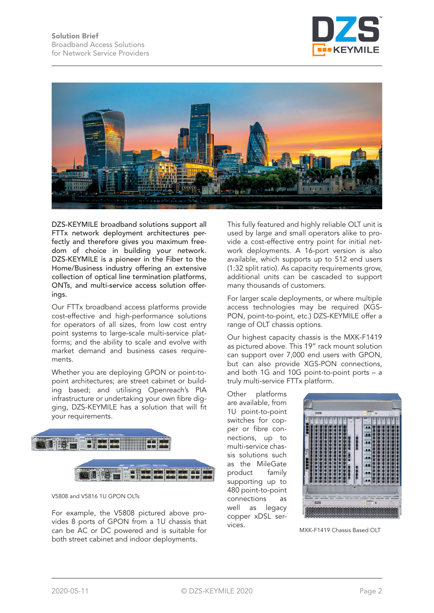



DZS-KEYMILE broadband solutions support all FTTx network deployment architectures perfectly and therefore gives you maximum freedom of choice in building your network. DZS-KEYMILE is a pioneer in the Fiber to the Home/Business industry offering an extensive collection of optical line termination platforms, ONTs, and multi-service access solution offerings.

Our FTTx broadband access platforms provide cost-effective and high-performance solutions for operators of all sizes, from low cost entry point systems to large-scale multi-service platforms; and the ability to scale and evolve with market demand and business cases requirements.

Whether you are deploying GPON or point-topoint architectures; are street cabinet or building based; and utilising Openreach's PIA infrastructure or undertaking your own fibre digging, DZS-KEYMILE has a solution that will fit your requirements.



V5808 and V5816 1U GPON OLTs

For example, the V5808 pictured above provides 8 ports of GPON from a 1U chassis that can be AC or DC powered and is suitable for both street cabinet and indoor deployments.

This fully featured and highly reliable OLT unit is used by large and small operators alike to provide a cost-effective entry point for initial network deployments. A 16-port version is also available, which supports up to 512 end users (1:32 split ratio). As capacity requirements grow, additional units can be cascaded to support many thousands of customers.

For larger scale deployments, or where multiple access technologies may be required (XGS-PON, point-to-point, etc.) DZS-KEYMILE offer a range of OLT chassis options.

Our highest capacity chassis is the MXK-F1419 as pictured above. This 19" rack mount solution can support over 7,000 end users with GPON, but can also provide XGS-PON connections, and both 1G and 10G point-to-point ports – a truly multi-service FTTx platform.

Other platforms are available, from 1U point-to-point switches for copper or fibre connections, up to multi-service chassis solutions such as the MileGate product family supporting up to 480 point-to-point connections as well as legacy copper xDSL services.



MXK-F1419 Chassis Based OLT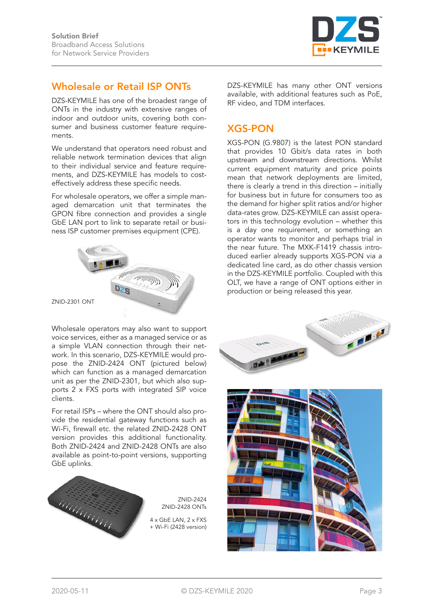

#### Wholesale or Retail ISP ONTs

DZS-KEYMILE has one of the broadest range of ONTs in the industry with extensive ranges of indoor and outdoor units, covering both consumer and business customer feature requirements.

We understand that operators need robust and reliable network termination devices that align to their individual service and feature requirements, and DZS-KEYMILE has models to costeffectively address these specific needs.

For wholesale operators, we offer a simple managed demarcation unit that terminates the GPON fibre connection and provides a single GbE LAN port to link to separate retail or business ISP customer premises equipment (CPE).



Wholesale operators may also want to support voice services, either as a managed service or as a simple VLAN connection through their network. In this scenario, DZS-KEYMILE would propose the ZNID-2424 ONT (pictured below) which can function as a managed demarcation unit as per the ZNID-2301, but which also supports 2 x FXS ports with integrated SIP voice clients.

For retail ISPs – where the ONT should also provide the residential gateway functions such as Wi-Fi, firewall etc. the related ZNID-2428 ONT version provides this additional functionality. Both ZNID-2424 and ZNID-2428 ONTs are also available as point-to-point versions, supporting GbE uplinks.



DZS-KEYMILE has many other ONT versions available, with additional features such as PoE, RF video, and TDM interfaces.

#### XGS-PON

XGS-PON (G.9807) is the latest PON standard that provides 10 Gbit/s data rates in both upstream and downstream directions. Whilst current equipment maturity and price points mean that network deployments are limited, there is clearly a trend in this direction – initially for business but in future for consumers too as the demand for higher split ratios and/or higher data-rates grow. DZS-KEYMILE can assist operators in this technology evolution – whether this is a day one requirement, or something an operator wants to monitor and perhaps trial in the near future. The MXK-F1419 chassis introduced earlier already supports XGS-PON via a dedicated line card, as do other chassis version in the DZS-KEYMILE portfolio. Coupled with this OLT, we have a range of ONT options either in production or being released this year.